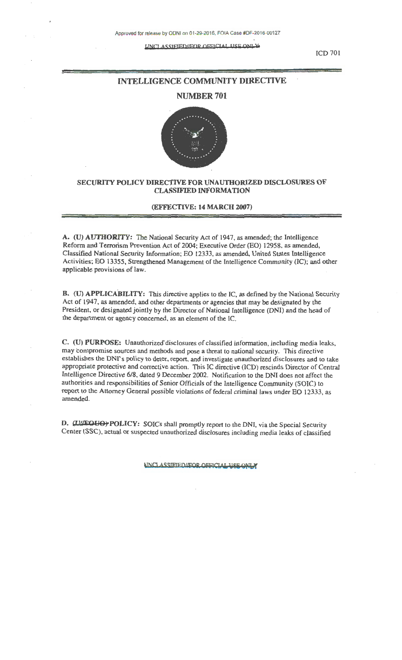# *UNCLASSIFIED//FOR OFFICUAL LISE ONLY*

ICD 701

# INTELLIGENCE COMMUNITY DIRECTIVE

# NUMBER 701



## SECURITY POLICY DIRECTIVE FOR UNAUTHORIZED DISCLOSURES OF CLASSIFIED INFORMATION

### (EFFECTlVE: 14 MARCH 2007)

A. (U) AUTHORITY: The National Security Act of 1947, as amended; the Intelligence Reform and Terrorism Prevention Act of 2004; Executive Order (EO) 12958, as amended, Classified National Security Information; EO 12333, as amended, United States Intelligence Activities; EO 13355. Strengthened Management of the Intelligence Community (IC); and other applicable provisions of law.

B. (U) APPLICABILITY: This directive applies to the IC, as defined by the National Security Act of 1947, as amended, and other departments or agencies that may be designated by the President, or designated jointly by the Director of National Intelligence (DNI) and the head of rhe depanment or agency concerned, ac; an element of the IC.

C- (U) PURPOSE: Unauthorized"disclosures of classified information, including media leaks, may compromise sources and melhods and pose a threat to national security. This directive establishes the DNl's policy to deter, report, and investigate unauthorized disclosures and to lake appropriate prolective and corrective action. This IC directive (ICD) rescinds Director of Central Intelligence Directive 6/8, dated 9 December 2002. Notification to the DNI does not affect the authorities and responsibilities of Senior Officials of the Intelligence Community (SOIC) to report to the Attorney General possible violations of federal criminal laws under EO 12333, as amended.

D. (II/FOUO) POLICY: SOICs shall promptly report to the DNI, via the Special Security Center (SSC). actual or suspecled unauthorized disclosures including media leaks of classified

UNCLASSIFIED//FOR OFFICIAL LISE ONE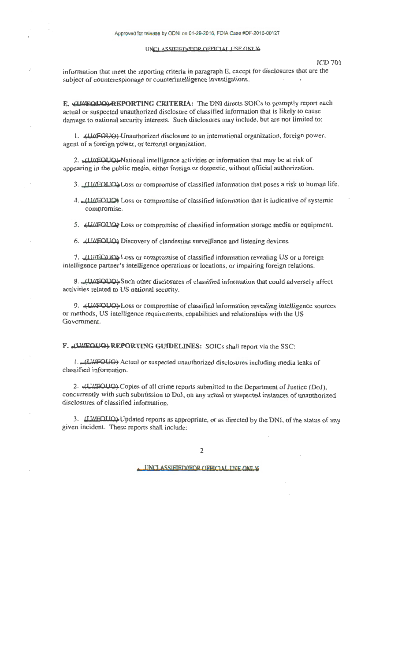#### UNCLASSIEJED/**JEOR OFFICIAL LISE ONLY.**

ICD 701

information that meet the reporting criteria in paragraph E. except for disclosures that are the subject of counterespionage or counterintelligence investigations.

E. **ALIZEQUO)-REPORTING CRITERIA:** The DNI directs SOICs to promptly report each actual or suspected unauthorized disclosure of classified information that is likely to cause damage to national security interests. Such disclosures may include, but are not limited to:

1. 4 HAFOUQ) Unauthorized disclosure to an international organization, foreign power. agent of a foreign power. or terrorist organization.

2. <u>IT US</u> OU INDERTIAL INCOURTED A intelligence activities or information that may be at risk of appearing in the public media. either foreign or domestic, without official authorization.

3. CLI/FOLIO: Loss or compromise of classified information that poses a risk to human life.

4. **(II//EOLIO**) Loss or compromise of classified information that is indicative of systemic compromise.

5. *(UI/FOUQ)* Loss or compromise of classified information storage media or equipment.

6. (III/EQUO) Discovery of clandestine surveillance and listening devices.

7. (I I IEQUIQ) Loss or compromise of classified information revealing US or a foreign intelligence partner's intelligence operations or locations, or impairing foreign relations.

8. 41 JU/FOUO). Such other disclosures of classified information that could adversely affect activities related to US national security.

9. **(U/FOUQ)** Loss or compromise of classified information revealing intelligence sources or methods, US intelligence requirements, capabilities and relationships with the US Government.

F. (ULFOUQ) REPORTING GUIDELINES: SOICs shall report via the SSC:

I. ({ 11/.POUO) Actual or suspected unauthorized disclosures including media leaks of classified information.

2. (UIIEQUO) Copies of all crime reports submitted to the Department of Justice (DoJ), concurrently with such submission to DoJ. on any actual or suspected instances of unauthorized disclosures of classified information.

3. (III/EOIIO) Updated reports as appropriate, or as directed by the DNI, of the status of any given incident. These reports shall include:

UNCLASSIEJED/JEOR OFFICIAL LISE ONLY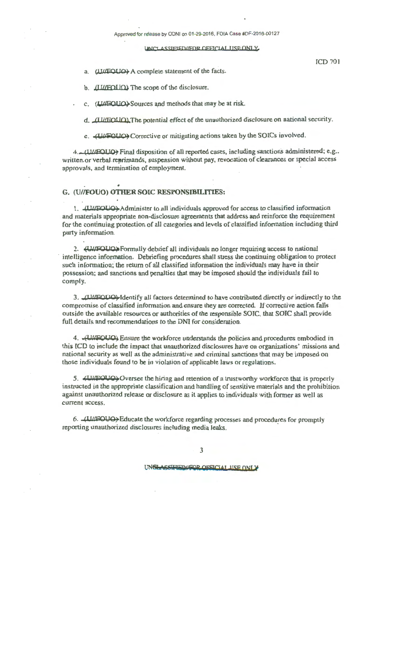#### l,&NCJ ASSifIEOUfOR OfEICIAI USE ONI *X.*

**ICD 701** 

a. (I II/FOUQ) A complete statement of the facts.

b. (II//FOUQ) The scope of the disclosure.

c. (UHFOUQ) Sources and methods that may be at risk.

d. (I I//EQUO) The potential effect of the unauthorized disclosure on national security.

e. (UNFOUO) Corrective or mitigating actions taken by the SOICs involved.

4. (UVEQUQ) Final disposition of all reported cases, including sanctions administered; e.g., written.or verbal reprimands, suspension without pay, revocation of clearances or special access approvals, and termination of employment.

## G. (U//FOUO) OTHER SOIC RESPONSIBILITIES:

1. **(IIL/FOUO)** Administer to all individuals approved for access to classified information and materials appropriate non-disclosure agreements that address and reinforce the requirement for the continuing protection of all categories and levels of classified information including third party information.

2. **(UI/FOUO)** Formally debrief all individuals no longer requiring access to national intelligence infonnation. Debriefing procedures shall stress the continuing obligation to protect such information; the return of all classified information the individuals may have in their possession; and sanctions and penalties that may be imposed shauld the individuals fail to comply.

3. (II/FOUO) Identify all factors determined to have contributed directly or indirectly to the compromise of classified information and ensure they are corrected. Jf corrective action falls outside the available resources or authorities of the responsible SOJC, that SOIC shall provide full details and recommendations *to* the DNI for consideration.

4. (U. G. L. G. L. A. Ensure the workforce understands the policies and procedures embodied in this ICD to include the impact that unauthorized disclosures have on organizations' missions and national security as well as the administrative and criminal sanctions that may be imposed on those individuals found lo be in violation of applicable laws or regulations.

5. **4 U/FOUO**) Oversee the hiring and retention of a trustworthy workforce that is properly instructed in the appropriate classification and handling of sensitive materials and the prohibition against unauthorized release or disclosure as it applies to individuals with former as well as current access.

6. (II/FOUQ) Educate the workforce regarding processes and procedures for promptly reporting unauthorized disclosures including media leaks.

UNGLASSIFIED/GOP OFFICIAL LISE ONLY